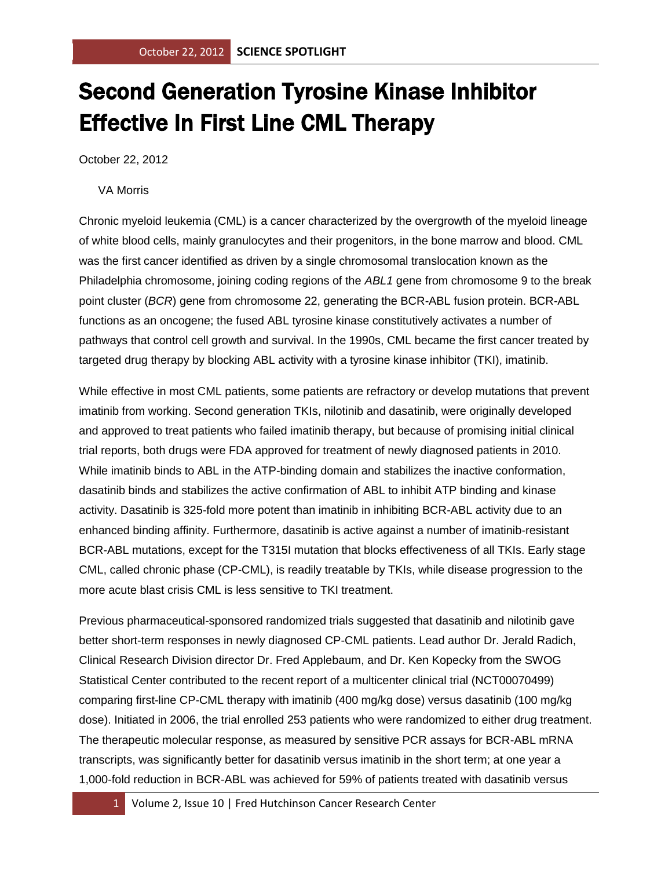## Second Generation Tyrosine Kinase Inhibitor Effective In First Line CML Therapy

October 22, 2012

## VA Morris

Chronic myeloid leukemia (CML) is a cancer characterized by the overgrowth of the myeloid lineage of white blood cells, mainly granulocytes and their progenitors, in the bone marrow and blood. CML was the first cancer identified as driven by a single chromosomal translocation known as the Philadelphia chromosome, joining coding regions of the *ABL1* gene from chromosome 9 to the break point cluster (*BCR*) gene from chromosome 22, generating the BCR-ABL fusion protein. BCR-ABL functions as an oncogene; the fused ABL tyrosine kinase constitutively activates a number of pathways that control cell growth and survival. In the 1990s, CML became the first cancer treated by targeted drug therapy by blocking ABL activity with a tyrosine kinase inhibitor (TKI), imatinib.

While effective in most CML patients, some patients are refractory or develop mutations that prevent imatinib from working. Second generation TKIs, nilotinib and dasatinib, were originally developed and approved to treat patients who failed imatinib therapy, but because of promising initial clinical trial reports, both drugs were FDA approved for treatment of newly diagnosed patients in 2010. While imatinib binds to ABL in the ATP-binding domain and stabilizes the inactive conformation, dasatinib binds and stabilizes the active confirmation of ABL to inhibit ATP binding and kinase activity. Dasatinib is 325-fold more potent than imatinib in inhibiting BCR-ABL activity due to an enhanced binding affinity. Furthermore, dasatinib is active against a number of imatinib-resistant BCR-ABL mutations, except for the T315I mutation that blocks effectiveness of all TKIs. Early stage CML, called chronic phase (CP-CML), is readily treatable by TKIs, while disease progression to the more acute blast crisis CML is less sensitive to TKI treatment.

Previous pharmaceutical-sponsored randomized trials suggested that dasatinib and nilotinib gave better short-term responses in newly diagnosed CP-CML patients. Lead author Dr. Jerald Radich, Clinical Research Division director Dr. Fred Applebaum, and Dr. Ken Kopecky from the SWOG Statistical Center contributed to the recent report of a multicenter clinical trial (NCT00070499) comparing first-line CP-CML therapy with imatinib (400 mg/kg dose) versus dasatinib (100 mg/kg dose). Initiated in 2006, the trial enrolled 253 patients who were randomized to either drug treatment. The therapeutic molecular response, as measured by sensitive PCR assays for BCR-ABL mRNA transcripts, was significantly better for dasatinib versus imatinib in the short term; at one year a 1,000-fold reduction in BCR-ABL was achieved for 59% of patients treated with dasatinib versus